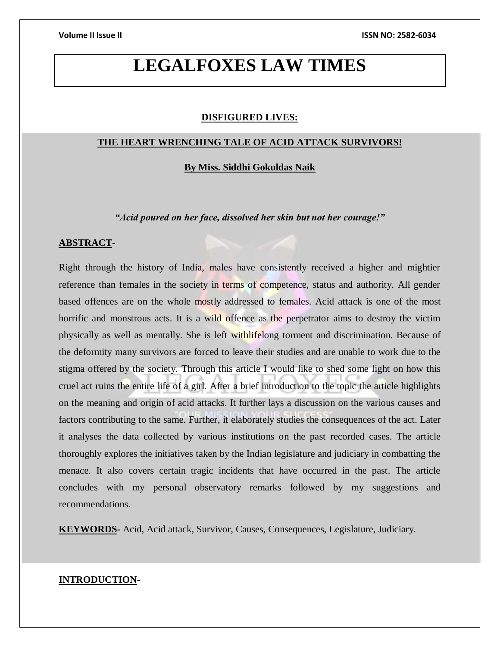# **LEGALFOXES LAW TIMES**

#### **DISFIGURED LIVES:**

#### **THE HEART WRENCHING TALE OF ACID ATTACK SURVIVORS!**

**By Miss. Siddhi Gokuldas Naik**

*"Acid poured on her face, dissolved her skin but not her courage!"*

# **ABSTRACT-**

Right through the history of India, males have consistently received a higher and mightier reference than females in the society in terms of competence, status and authority. All gender based offences are on the whole mostly addressed to females. Acid attack is one of the most horrific and monstrous acts. It is a wild offence as the perpetrator aims to destroy the victim physically as well as mentally. She is left withlifelong torment and discrimination. Because of the deformity many survivors are forced to leave their studies and are unable to work due to the stigma offered by the society. Through this article I would like to shed some light on how this cruel act ruins the entire life of a girl. After a brief introduction to the topic the article highlights on the meaning and origin of acid attacks. It further lays a discussion on the various causes and factors contributing to the same. Further, it elaborately studies the consequences of the act. Later it analyses the data collected by various institutions on the past recorded cases. The article thoroughly explores the initiatives taken by the Indian legislature and judiciary in combatting the menace. It also covers certain tragic incidents that have occurred in the past. The article concludes with my personal observatory remarks followed by my suggestions and recommendations.

**KEYWORDS-** Acid, Acid attack, Survivor, Causes, Consequences, Legislature, Judiciary.

### **INTRODUCTION-**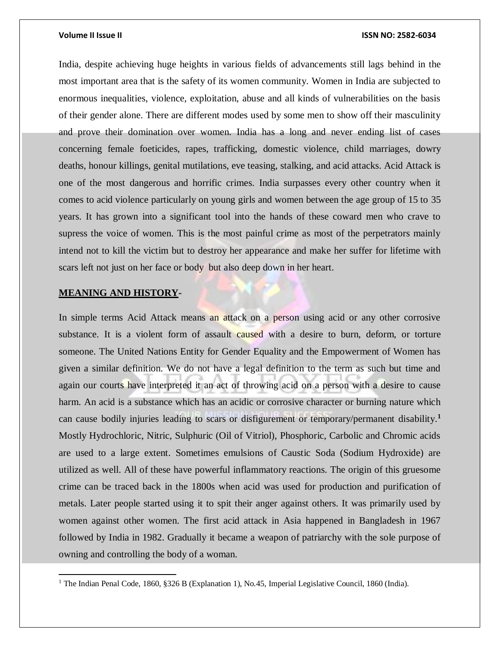India, despite achieving huge heights in various fields of advancements still lags behind in the most important area that is the safety of its women community. Women in India are subjected to enormous inequalities, violence, exploitation, abuse and all kinds of vulnerabilities on the basis of their gender alone. There are different modes used by some men to show off their masculinity and prove their domination over women. India has a long and never ending list of cases concerning female foeticides, rapes, trafficking, domestic violence, child marriages, dowry deaths, honour killings, genital mutilations, eve teasing, stalking, and acid attacks. Acid Attack is one of the most dangerous and horrific crimes. India surpasses every other country when it comes to acid violence particularly on young girls and women between the age group of 15 to 35 years. It has grown into a significant tool into the hands of these coward men who crave to supress the voice of women. This is the most painful crime as most of the perpetrators mainly intend not to kill the victim but to destroy her appearance and make her suffer for lifetime with scars left not just on her face or body but also deep down in her heart.

### **MEANING AND HISTORY-**

 $\overline{a}$ 

In simple terms Acid Attack means an attack on a person using acid or any other corrosive substance. It is a violent form of assault caused with a desire to burn, deform, or torture someone. The United Nations Entity for Gender Equality and the Empowerment of Women has given a similar definition. We do not have a legal definition to the term as such but time and again our courts have interpreted it an act of throwing acid on a person with a desire to cause harm. An acid is a substance which has an acidic or corrosive character or burning nature which can cause bodily injuries leading to scars or disfigurement or temporary/permanent disability.**<sup>1</sup>** Mostly Hydrochloric, Nitric, Sulphuric (Oil of Vitriol), Phosphoric, Carbolic and Chromic acids are used to a large extent. Sometimes emulsions of Caustic Soda (Sodium Hydroxide) are utilized as well. All of these have powerful inflammatory reactions. The origin of this gruesome crime can be traced back in the 1800s when acid was used for production and purification of metals. Later people started using it to spit their anger against others. It was primarily used by women against other women. The first acid attack in Asia happened in Bangladesh in 1967 followed by India in 1982. Gradually it became a weapon of patriarchy with the sole purpose of owning and controlling the body of a woman.

<sup>&</sup>lt;sup>1</sup> The Indian Penal Code, 1860, §326 B (Explanation 1), No.45, Imperial Legislative Council, 1860 (India).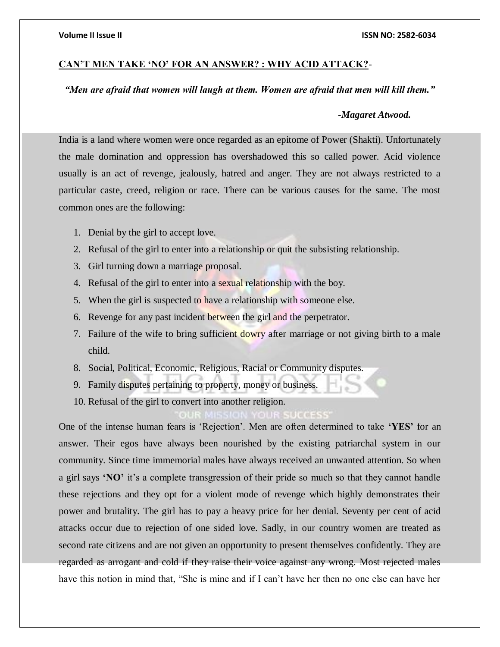# **CAN'T MEN TAKE 'NO' FOR AN ANSWER? : WHY ACID ATTACK?**-

# *"Men are afraid that women will laugh at them. Women are afraid that men will kill them."*

#### *-Magaret Atwood.*

India is a land where women were once regarded as an epitome of Power (Shakti). Unfortunately the male domination and oppression has overshadowed this so called power. Acid violence usually is an act of revenge, jealously, hatred and anger. They are not always restricted to a particular caste, creed, religion or race. There can be various causes for the same. The most common ones are the following:

- 1. Denial by the girl to accept love.
- 2. Refusal of the girl to enter into a relationship or quit the subsisting relationship.
- 3. Girl turning down a marriage proposal.
- 4. Refusal of the girl to enter into a sexual relationship with the boy.
- 5. When the girl is suspected to have a relationship with someone else.
- 6. Revenge for any past incident between the girl and the perpetrator.
- 7. Failure of the wife to bring sufficient dowry after marriage or not giving birth to a male child.
- 8. Social, Political, Economic, Religious, Racial or Community disputes.
- 9. Family disputes pertaining to property, money or business.
- 10. Refusal of the girl to convert into another religion.

One of the intense human fears is 'Rejection'. Men are often determined to take **'YES'** for an answer. Their egos have always been nourished by the existing patriarchal system in our community. Since time immemorial males have always received an unwanted attention. So when a girl says **'NO'** it's a complete transgression of their pride so much so that they cannot handle these rejections and they opt for a violent mode of revenge which highly demonstrates their power and brutality. The girl has to pay a heavy price for her denial. Seventy per cent of acid attacks occur due to rejection of one sided love. Sadly, in our country women are treated as second rate citizens and are not given an opportunity to present themselves confidently. They are regarded as arrogant and cold if they raise their voice against any wrong. Most rejected males have this notion in mind that, "She is mine and if I can't have her then no one else can have her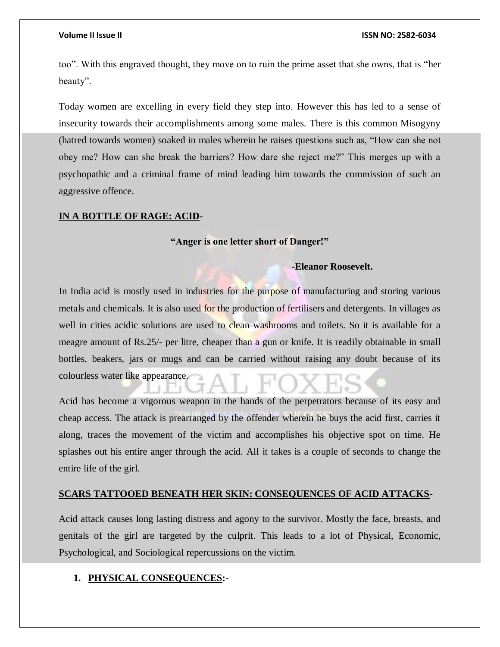too". With this engraved thought, they move on to ruin the prime asset that she owns, that is "her beauty".

Today women are excelling in every field they step into. However this has led to a sense of insecurity towards their accomplishments among some males. There is this common Misogyny (hatred towards women) soaked in males wherein he raises questions such as, "How can she not obey me? How can she break the barriers? How dare she reject me?" This merges up with a psychopathic and a criminal frame of mind leading him towards the commission of such an aggressive offence.

### **IN A BOTTLE OF RAGE: ACID-**

#### **"Anger is one letter short of Danger!"**

### **-Eleanor Roosevelt.**

In India acid is mostly used in industries for the purpose of manufacturing and storing various metals and chemicals. It is also used for the production of fertilisers and detergents. In villages as well in cities acidic solutions are used to clean washrooms and toilets. So it is available for a meagre amount of Rs.25/- per litre, cheaper than a gun or knife. It is readily obtainable in small bottles, beakers, jars or mugs and can be carried without raising any doubt because of its colourless water like appearance.

Acid has become a vigorous weapon in the hands of the perpetrators because of its easy and cheap access. The attack is prearranged by the offender wherein he buys the acid first, carries it along, traces the movement of the victim and accomplishes his objective spot on time. He splashes out his entire anger through the acid. All it takes is a couple of seconds to change the entire life of the girl.

### **SCARS TATTOOED BENEATH HER SKIN: CONSEQUENCES OF ACID ATTACKS-**

Acid attack causes long lasting distress and agony to the survivor. Mostly the face, breasts, and genitals of the girl are targeted by the culprit. This leads to a lot of Physical, Economic, Psychological, and Sociological repercussions on the victim.

### **1. PHYSICAL CONSEQUENCES:-**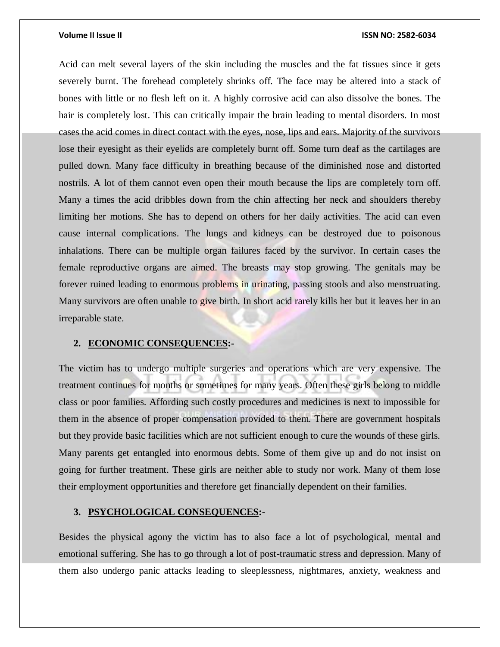Acid can melt several layers of the skin including the muscles and the fat tissues since it gets severely burnt. The forehead completely shrinks off. The face may be altered into a stack of bones with little or no flesh left on it. A highly corrosive acid can also dissolve the bones. The hair is completely lost. This can critically impair the brain leading to mental disorders. In most cases the acid comes in direct contact with the eyes, nose, lips and ears. Majority of the survivors lose their eyesight as their eyelids are completely burnt off. Some turn deaf as the cartilages are pulled down. Many face difficulty in breathing because of the diminished nose and distorted nostrils. A lot of them cannot even open their mouth because the lips are completely torn off. Many a times the acid dribbles down from the chin affecting her neck and shoulders thereby limiting her motions. She has to depend on others for her daily activities. The acid can even cause internal complications. The lungs and kidneys can be destroyed due to poisonous inhalations. There can be multiple organ failures faced by the survivor. In certain cases the female reproductive organs are aimed. The breasts may stop growing. The genitals may be forever ruined leading to enormous problems in urinating, passing stools and also menstruating. Many survivors are often unable to give birth. In short acid rarely kills her but it leaves her in an irreparable state.

#### **2. ECONOMIC CONSEQUENCES:-**

The victim has to undergo multiple surgeries and operations which are very expensive. The treatment continues for months or sometimes for many years. Often these girls belong to middle class or poor families. Affording such costly procedures and medicines is next to impossible for them in the absence of proper compensation provided to them. There are government hospitals but they provide basic facilities which are not sufficient enough to cure the wounds of these girls. Many parents get entangled into enormous debts. Some of them give up and do not insist on going for further treatment. These girls are neither able to study nor work. Many of them lose their employment opportunities and therefore get financially dependent on their families.

# **3. PSYCHOLOGICAL CONSEQUENCES:-**

Besides the physical agony the victim has to also face a lot of psychological, mental and emotional suffering. She has to go through a lot of post-traumatic stress and depression. Many of them also undergo panic attacks leading to sleeplessness, nightmares, anxiety, weakness and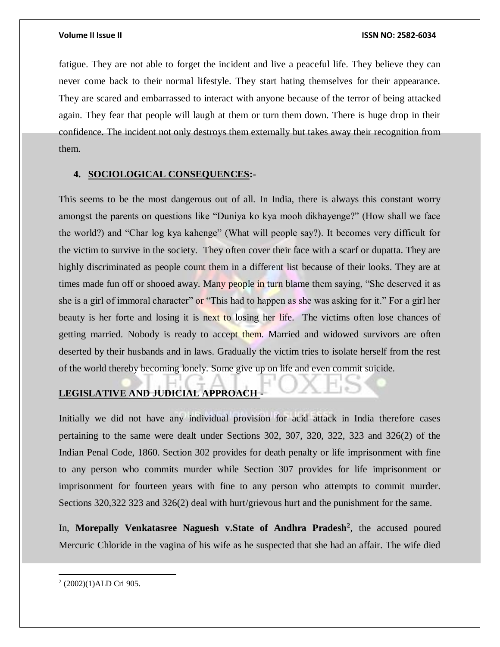fatigue. They are not able to forget the incident and live a peaceful life. They believe they can never come back to their normal lifestyle. They start hating themselves for their appearance. They are scared and embarrassed to interact with anyone because of the terror of being attacked again. They fear that people will laugh at them or turn them down. There is huge drop in their confidence. The incident not only destroys them externally but takes away their recognition from them.

### **4. SOCIOLOGICAL CONSEQUENCES:-**

This seems to be the most dangerous out of all. In India, there is always this constant worry amongst the parents on questions like "Duniya ko kya mooh dikhayenge?" (How shall we face the world?) and "Char log kya kahenge" (What will people say?). It becomes very difficult for the victim to survive in the society. They often cover their face with a scarf or dupatta. They are highly discriminated as people count them in a different list because of their looks. They are at times made fun off or shooed away. Many people in turn blame them saying, "She deserved it as she is a girl of immoral character" or "This had to happen as she was asking for it." For a girl her beauty is her forte and losing it is next to losing her life. The victims often lose chances of getting married. Nobody is ready to accept them. Married and widowed survivors are often deserted by their husbands and in laws. Gradually the victim tries to isolate herself from the rest of the world thereby becoming lonely. Some give up on life and even commit suicide.

# **LEGISLATIVE AND JUDICIAL APPROACH -**

Initially we did not have any individual provision for acid attack in India therefore cases pertaining to the same were dealt under Sections 302, 307, 320, 322, 323 and 326(2) of the Indian Penal Code, 1860. Section 302 provides for death penalty or life imprisonment with fine to any person who commits murder while Section 307 provides for life imprisonment or imprisonment for fourteen years with fine to any person who attempts to commit murder. Sections 320,322 323 and 326(2) deal with hurt/grievous hurt and the punishment for the same.

In, **Morepally Venkatasree Naguesh v.State of Andhra Pradesh<sup>2</sup>** , the accused poured Mercuric Chloride in the vagina of his wife as he suspected that she had an affair. The wife died

 $\overline{a}$ 2 (2002)(1)ALD Cri 905.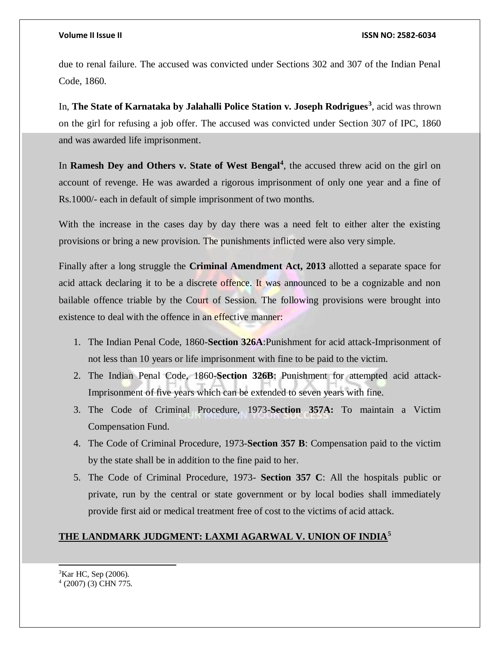due to renal failure. The accused was convicted under Sections 302 and 307 of the Indian Penal Code, 1860.

In, **The State of Karnataka by Jalahalli Police Station v. Joseph Rodrigues<sup>3</sup>** , acid was thrown on the girl for refusing a job offer. The accused was convicted under Section 307 of IPC, 1860 and was awarded life imprisonment.

In **Ramesh Dey and Others v. State of West Bengal<sup>4</sup>, the accused threw acid on the girl on** account of revenge. He was awarded a rigorous imprisonment of only one year and a fine of Rs.1000/- each in default of simple imprisonment of two months.

With the increase in the cases day by day there was a need felt to either alter the existing provisions or bring a new provision. The punishments inflicted were also very simple.

Finally after a long struggle the **Criminal Amendment Act, 2013** allotted a separate space for acid attack declaring it to be a discrete offence. It was announced to be a cognizable and non bailable offence triable by the Court of Session. The following provisions were brought into existence to deal with the offence in an effective manner:

- 1. The Indian Penal Code, 1860-**Section 326A**:Punishment for acid attack-Imprisonment of not less than 10 years or life imprisonment with fine to be paid to the victim.
- 2. The Indian Penal Code, 1860-**Section 326B**: Punishment for attempted acid attack-Imprisonment of five years which can be extended to seven years with fine.
- 3. The Code of Criminal Procedure, 1973-**Section 357A:** To maintain a Victim Compensation Fund.
- 4. The Code of Criminal Procedure, 1973-**Section 357 B**: Compensation paid to the victim by the state shall be in addition to the fine paid to her.
- 5. The Code of Criminal Procedure, 1973- **Section 357 C**: All the hospitals public or private, run by the central or state government or by local bodies shall immediately provide first aid or medical treatment free of cost to the victims of acid attack.

# **THE LANDMARK JUDGMENT: LAXMI AGARWAL V. UNION OF INDIA<sup>5</sup>**

<sup>3</sup>Kar HC, Sep (2006). 4 (2007) (3) CHN 775.

l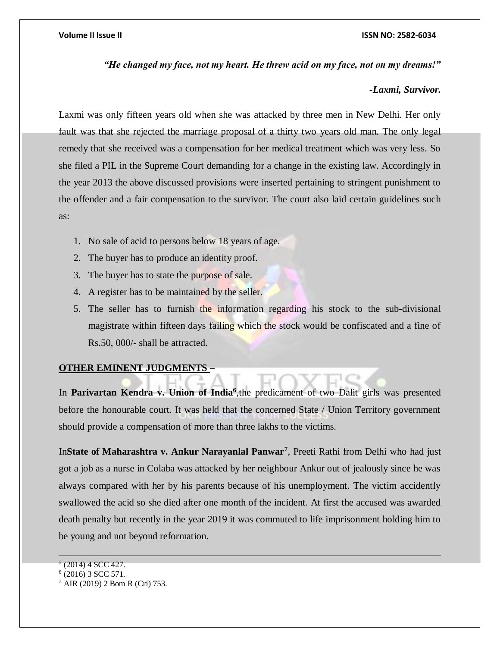*"He changed my face, not my heart. He threw acid on my face, not on my dreams!"*

# *-Laxmi, Survivor.*

Laxmi was only fifteen years old when she was attacked by three men in New Delhi. Her only fault was that she rejected the marriage proposal of a thirty two years old man. The only legal remedy that she received was a compensation for her medical treatment which was very less. So she filed a PIL in the Supreme Court demanding for a change in the existing law. Accordingly in the year 2013 the above discussed provisions were inserted pertaining to stringent punishment to the offender and a fair compensation to the survivor. The court also laid certain guidelines such as:

- 1. No sale of acid to persons below 18 years of age.
- 2. The buyer has to produce an identity proof.
- 3. The buyer has to state the purpose of sale.
- 4. A register has to be maintained by the seller.
- 5. The seller has to furnish the information regarding his stock to the sub-divisional magistrate within fifteen days failing which the stock would be confiscated and a fine of Rs.50, 000/- shall be attracted.

# **OTHER EMINENT JUDGMENTS –**

In **Parivartan Kendra v. Union of India**<sup>6</sup>, the predicament of two Dalit girls was presented before the honourable court. It was held that the concerned State / Union Territory government should provide a compensation of more than three lakhs to the victims.

In**State of Maharashtra v. Ankur Narayanlal Panwar<sup>7</sup>** , Preeti Rathi from Delhi who had just got a job as a nurse in Colaba was attacked by her neighbour Ankur out of jealously since he was always compared with her by his parents because of his unemployment. The victim accidently swallowed the acid so she died after one month of the incident. At first the accused was awarded death penalty but recently in the year 2019 it was commuted to life imprisonment holding him to be young and not beyond reformation.

 $6(2016)$  3 SCC 571.

 $\overline{a}$  $<sup>5</sup>$  (2014) 4 SCC 427.</sup>

<sup>7</sup> AIR (2019) 2 Bom R (Cri) 753.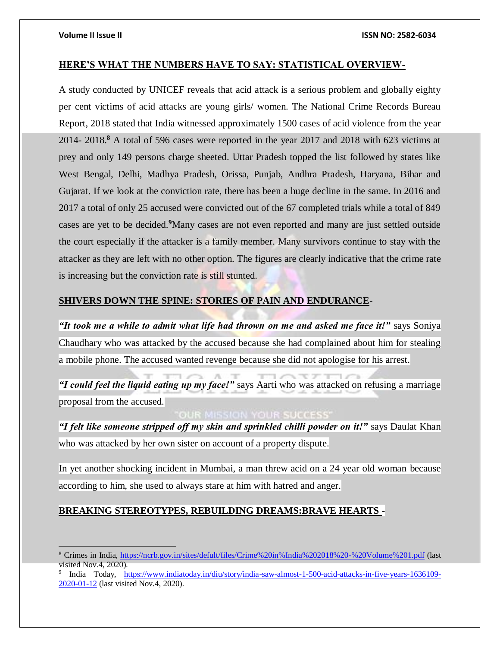$\overline{a}$ 

### **HERE'S WHAT THE NUMBERS HAVE TO SAY: STATISTICAL OVERVIEW-**

A study conducted by UNICEF reveals that acid attack is a serious problem and globally eighty per cent victims of acid attacks are young girls/ women. The National Crime Records Bureau Report, 2018 stated that India witnessed approximately 1500 cases of acid violence from the year 2014- 2018.**<sup>8</sup>** A total of 596 cases were reported in the year 2017 and 2018 with 623 victims at prey and only 149 persons charge sheeted. Uttar Pradesh topped the list followed by states like West Bengal, Delhi, Madhya Pradesh, Orissa, Punjab, Andhra Pradesh, Haryana, Bihar and Gujarat. If we look at the conviction rate, there has been a huge decline in the same. In 2016 and 2017 a total of only 25 accused were convicted out of the 67 completed trials while a total of 849 cases are yet to be decided.**<sup>9</sup>**Many cases are not even reported and many are just settled outside the court especially if the attacker is a family member. Many survivors continue to stay with the attacker as they are left with no other option. The figures are clearly indicative that the crime rate is increasing but the conviction rate is still stunted.

### **SHIVERS DOWN THE SPINE: STORIES OF PAIN AND ENDURANCE**-

*"It took me a while to admit what life had thrown on me and asked me face it!"* says Soniya Chaudhary who was attacked by the accused because she had complained about him for stealing a mobile phone. The accused wanted revenge because she did not apologise for his arrest.

*"I could feel the liquid eating up my face!"* says Aarti who was attacked on refusing a marriage proposal from the accused.

# **OUR MISSION YOUR SUCCESS'**

*"I felt like someone stripped off my skin and sprinkled chilli powder on it!"* says Daulat Khan who was attacked by her own sister on account of a property dispute.

In yet another shocking incident in Mumbai, a man threw acid on a 24 year old woman because according to him, she used to always stare at him with hatred and anger.

# **BREAKING STEREOTYPES, REBUILDING DREAMS:BRAVE HEARTS -**

<sup>8</sup> Crimes in India, [https://ncrb.gov.in/sites/defult/files/Crime%20in%India%202018%20-%20Volume%201.pdf](https://ncrb.gov.in/sites/defult/files/Crime%20in%25India%202018%20-%20Volume%201.pdf) (last visited Nov.4, 2020).

<sup>9</sup> India Today, [https://www.indiatoday.in/diu/story/india-saw-almost-1-500-acid-attacks-in-five-years-1636109-](https://www.indiatoday.in/diu/story/india-saw-almost-1-500-acid-attacks-in-five-years-1636109-2020-01-12) [2020-01-12](https://www.indiatoday.in/diu/story/india-saw-almost-1-500-acid-attacks-in-five-years-1636109-2020-01-12) (last visited Nov.4, 2020).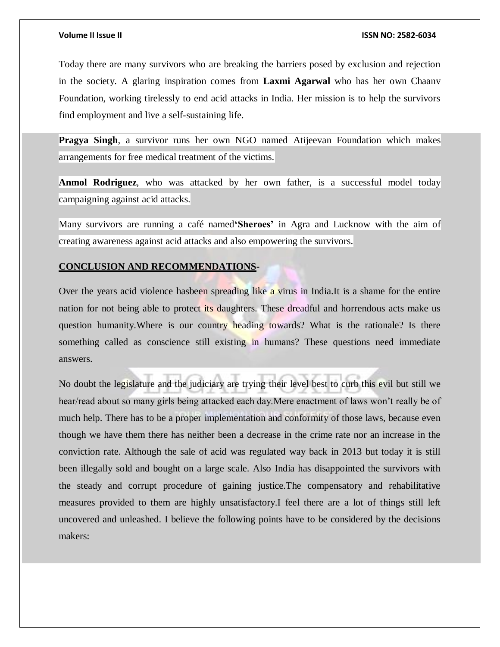Today there are many survivors who are breaking the barriers posed by exclusion and rejection in the society. A glaring inspiration comes from **Laxmi Agarwal** who has her own Chaanv Foundation, working tirelessly to end acid attacks in India. Her mission is to help the survivors find employment and live a self-sustaining life.

**Pragya Singh**, a survivor runs her own NGO named Atijeevan Foundation which makes arrangements for free medical treatment of the victims.

**Anmol Rodriguez**, who was attacked by her own father, is a successful model today campaigning against acid attacks.

Many survivors are running a café named**'Sheroes'** in Agra and Lucknow with the aim of creating awareness against acid attacks and also empowering the survivors.

#### **CONCLUSION AND RECOMMENDATIONS-**

Over the years acid violence hasbeen spreading like a virus in India.It is a shame for the entire nation for not being able to protect its daughters. These dreadful and horrendous acts make us question humanity. Where is our country heading towards? What is the rationale? Is there something called as conscience still existing in humans? These questions need immediate answers.

No doubt the legislature and the judiciary are trying their level best to curb this evil but still we hear/read about so many girls being attacked each day.Mere enactment of laws won't really be of much help. There has to be a proper implementation and conformity of those laws, because even though we have them there has neither been a decrease in the crime rate nor an increase in the conviction rate. Although the sale of acid was regulated way back in 2013 but today it is still been illegally sold and bought on a large scale. Also India has disappointed the survivors with the steady and corrupt procedure of gaining justice.The compensatory and rehabilitative measures provided to them are highly unsatisfactory.I feel there are a lot of things still left uncovered and unleashed. I believe the following points have to be considered by the decisions makers: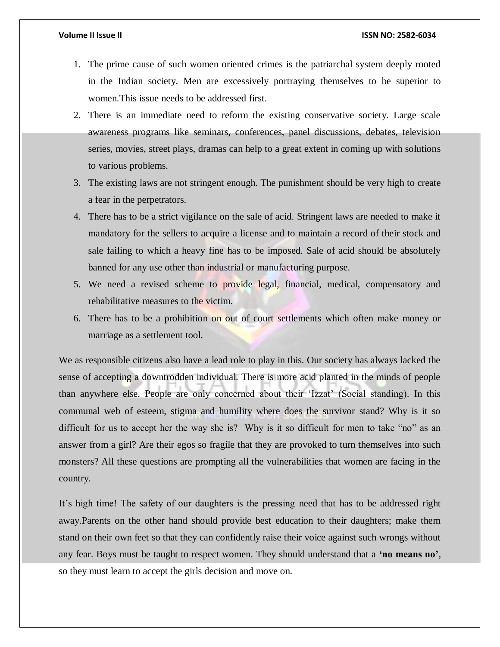- 1. The prime cause of such women oriented crimes is the patriarchal system deeply rooted in the Indian society. Men are excessively portraying themselves to be superior to women.This issue needs to be addressed first.
- 2. There is an immediate need to reform the existing conservative society. Large scale awareness programs like seminars, conferences, panel discussions, debates, television series, movies, street plays, dramas can help to a great extent in coming up with solutions to various problems.
- 3. The existing laws are not stringent enough. The punishment should be very high to create a fear in the perpetrators.
- 4. There has to be a strict vigilance on the sale of acid. Stringent laws are needed to make it mandatory for the sellers to acquire a license and to maintain a record of their stock and sale failing to which a heavy fine has to be imposed. Sale of acid should be absolutely banned for any use other than industrial or manufacturing purpose.
- 5. We need a revised scheme to provide legal, financial, medical, compensatory and rehabilitative measures to the victim.
- 6. There has to be a prohibition on out of court settlements which often make money or marriage as a settlement tool.

We as responsible citizens also have a lead role to play in this. Our society has always lacked the sense of accepting a downtrodden individual. There is more acid planted in the minds of people than anywhere else. People are only concerned about their 'Izzat' (Social standing). In this communal web of esteem, stigma and humility where does the survivor stand? Why is it so difficult for us to accept her the way she is? Why is it so difficult for men to take "no" as an answer from a girl? Are their egos so fragile that they are provoked to turn themselves into such monsters? All these questions are prompting all the vulnerabilities that women are facing in the country.

It's high time! The safety of our daughters is the pressing need that has to be addressed right away.Parents on the other hand should provide best education to their daughters; make them stand on their own feet so that they can confidently raise their voice against such wrongs without any fear. Boys must be taught to respect women. They should understand that a **'no means no'**, so they must learn to accept the girls decision and move on.